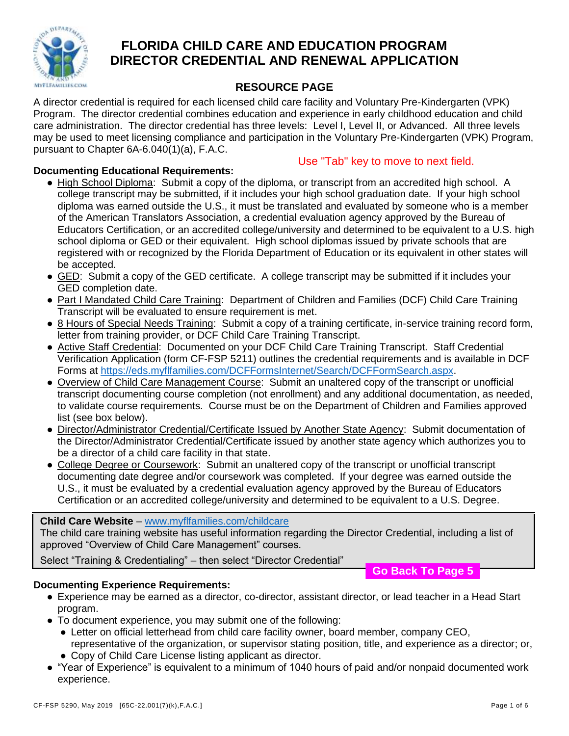

# **FLORIDA CHILD CARE AND EDUCATION PROGRAM DIRECTOR CREDENTIAL AND RENEWAL APPLICATION**

## **RESOURCE PAGE**

A director credential is required for each licensed child care facility and Voluntary Pre-Kindergarten (VPK) Program. The director credential combines education and experience in early childhood education and child care administration. The director credential has three levels: Level I, Level II, or Advanced. All three levels may be used to meet licensing compliance and participation in the Voluntary Pre-Kindergarten (VPK) Program, pursuant to Chapter 6A-6.040(1)(a), F.A.C.

#### **Documenting Educational Requirements:**

Use "Tab" key to move to next field.

- High School Diploma: Submit a copy of the diploma, or transcript from an accredited high school. A college transcript may be submitted, if it includes your high school graduation date. If your high school diploma was earned outside the U.S., it must be translated and evaluated by someone who is a member of the American Translators Association, a credential evaluation agency approved by the Bureau of Educators Certification, or an accredited college/university and determined to be equivalent to a U.S. high school diploma or GED or their equivalent. High school diplomas issued by private schools that are registered with or recognized by the Florida Department of Education or its equivalent in other states will be accepted.
- GED: Submit a copy of the GED certificate. A college transcript may be submitted if it includes your GED completion date.
- Part I Mandated Child Care Training: Department of Children and Families (DCF) Child Care Training Transcript will be evaluated to ensure requirement is met.
- 8 Hours of Special Needs Training: Submit a copy of a training certificate, in-service training record form, letter from training provider, or DCF Child Care Training Transcript.
- Active Staff Credential: Documented on your DCF Child Care Training Transcript. Staff Credential Verification Application (form CF-FSP 5211) outlines the credential requirements and is available in DCF Forms at [https://eds.myflfamilies.com/DCFFormsInternet/Search/DCFFormSearch.aspx.](https://eds.myflfamilies.com/DCFFormsInternet/Search/DCFFormSearch.aspx)
- Overview of Child Care Management Course: Submit an unaltered copy of the transcript or unofficial transcript documenting course completion (not enrollment) and any additional documentation, as needed, to validate course requirements. Course must be on the Department of Children and Families approved list (see box below).
- Director/Administrator Credential/Certificate Issued by Another State Agency: Submit documentation of the Director/Administrator Credential/Certificate issued by another state agency which authorizes you to be a director of a child care facility in that state.
- College Degree or Coursework: Submit an unaltered copy of the transcript or unofficial transcript documenting date degree and/or coursework was completed. If your degree was earned outside the U.S., it must be evaluated by a credential evaluation agency approved by the Bureau of Educators Certification or an accredited college/university and determined to be equivalent to a U.S. Degree.

**Child Care Website** – [www.myflfamilies.com/childcare](http://www.myflfamilies.com/childcare)

The child care training website has useful information regarding the Director Credential, including a list of approved "Overview of Child Care Management" courses.

Select "Training & Credentialing" – then select "Director Credential"

**Go Back To Page 5**

### **Documenting Experience Requirements:**

- Experience may be earned as a director, co-director, assistant director, or lead teacher in a Head Start program.
- To document experience, you may submit one of the following:
	- Letter on official letterhead from child care facility owner, board member, company CEO, representative of the organization, or supervisor stating position, title, and experience as a director; or, ● Copy of Child Care License listing applicant as director.
- "Year of Experience" is equivalent to a minimum of 1040 hours of paid and/or nonpaid documented work experience.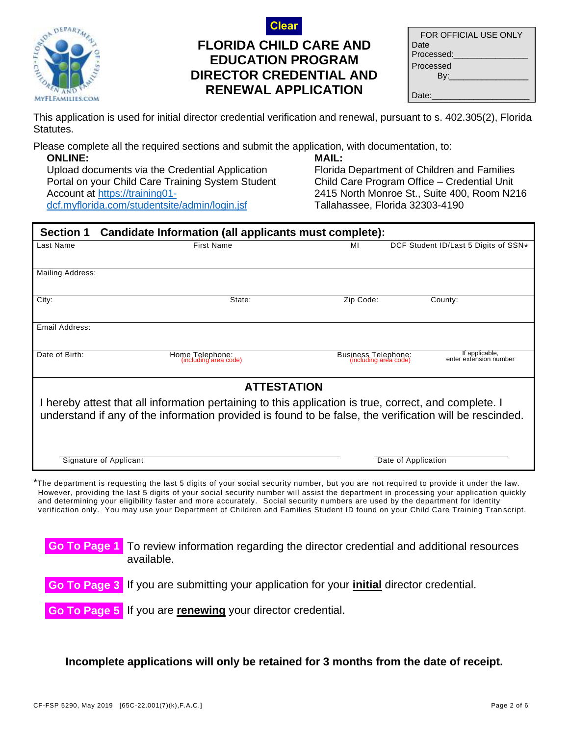

# **FLORIDA CHILD CARE AND EDUCATION PROGRAM DIRECTOR CREDENTIAL AND RENEWAL APPLICATION Clear**

| FOR OFFICIAL USE ONLY |
|-----------------------|
| Date                  |
| Processed:            |
| Processed             |
| Bv:                   |
|                       |
| Date:                 |

This application is used for initial director credential verification and renewal, pursuant to s. 402.305(2), Florida Statutes.

Please complete all the required sections and submit the application, with documentation, to:

**ONLINE:** Upload documents via the Credential Application Portal on your Child Care Training System Student Account at [https://training01](https://training01-dcf.myflorida.com/studentsite/admin/login.jsf) [dcf.myflorida.com/studentsite/admin/login.jsf](https://training01-dcf.myflorida.com/studentsite/admin/login.jsf)

#### **MAIL:**

Florida Department of Children and Families Child Care Program Office – Credential Unit 2415 North Monroe St., Suite 400, Room N216 Tallahassee, Florida 32303-4190

| <b>Section 1</b>                                                                                                                                                                                                 | Candidate Information (all applicants must complete):                                                                                                                                                                                                                          |                                              |                                          |  |
|------------------------------------------------------------------------------------------------------------------------------------------------------------------------------------------------------------------|--------------------------------------------------------------------------------------------------------------------------------------------------------------------------------------------------------------------------------------------------------------------------------|----------------------------------------------|------------------------------------------|--|
| Last Name                                                                                                                                                                                                        | <b>First Name</b>                                                                                                                                                                                                                                                              | МI                                           | DCF Student ID/Last 5 Digits of SSN*     |  |
| Mailing Address:                                                                                                                                                                                                 |                                                                                                                                                                                                                                                                                |                                              |                                          |  |
| City:                                                                                                                                                                                                            | State:                                                                                                                                                                                                                                                                         | Zip Code:                                    | County:                                  |  |
| Email Address:                                                                                                                                                                                                   |                                                                                                                                                                                                                                                                                |                                              |                                          |  |
| Date of Birth:                                                                                                                                                                                                   | Home Telephone:<br>(including area code)                                                                                                                                                                                                                                       | Business Telephone:<br>(including area code) | If applicable,<br>enter extension number |  |
|                                                                                                                                                                                                                  | <b>ATTESTATION</b>                                                                                                                                                                                                                                                             |                                              |                                          |  |
| I hereby attest that all information pertaining to this application is true, correct, and complete. I<br>understand if any of the information provided is found to be false, the verification will be rescinded. |                                                                                                                                                                                                                                                                                |                                              |                                          |  |
|                                                                                                                                                                                                                  | Signature of Applicant                                                                                                                                                                                                                                                         |                                              | Date of Application                      |  |
|                                                                                                                                                                                                                  | *The department is requesting the last 5 digits of your social security number, but you are not required to provide it under the law.<br>However, providing the last 5 digits of your social security number will assist the department in processing your application quickly |                                              |                                          |  |

However, providing the last 5 digits of your social security number will assist the department in processing your application quickly and determining your eligibility faster and more accurately. Social security numbers are used by the department for identity verification only. You may use your Department of Children and Families Student ID found on your Child Care Training Tran script.

To review information regarding the director credential and additional resources available. **Go To Page 1**

Go To Page 3 If you are submitting your application for your **initial** director credential. **Go To Page 3**

Go To Page 5 If you are **renewing** your director credential.

**Incomplete applications will only be retained for 3 months from the date of receipt.**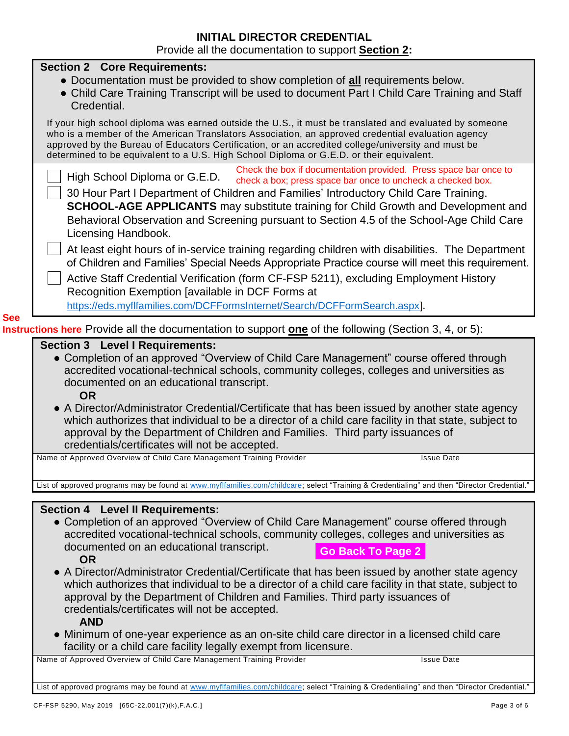#### **INITIAL DIRECTOR CREDENTIAL**  Provide all the documentation to support **Section 2:**

|            | <b>I</b> TOYING all the documentation to support <b>occiton z</b> .                                                                                                                                                                                                                                                                                                                                                                                                        |
|------------|----------------------------------------------------------------------------------------------------------------------------------------------------------------------------------------------------------------------------------------------------------------------------------------------------------------------------------------------------------------------------------------------------------------------------------------------------------------------------|
|            | <b>Section 2 Core Requirements:</b><br>• Documentation must be provided to show completion of all requirements below.<br>• Child Care Training Transcript will be used to document Part I Child Care Training and Staff<br>Credential.                                                                                                                                                                                                                                     |
|            | If your high school diploma was earned outside the U.S., it must be translated and evaluated by someone<br>who is a member of the American Translators Association, an approved credential evaluation agency<br>approved by the Bureau of Educators Certification, or an accredited college/university and must be<br>determined to be equivalent to a U.S. High School Diploma or G.E.D. or their equivalent.                                                             |
|            | Check the box if documentation provided. Press space bar once to<br>High School Diploma or G.E.D.<br>check a box; press space bar once to uncheck a checked box.<br>30 Hour Part I Department of Children and Families' Introductory Child Care Training.<br><b>SCHOOL-AGE APPLICANTS</b> may substitute training for Child Growth and Development and<br>Behavioral Observation and Screening pursuant to Section 4.5 of the School-Age Child Care<br>Licensing Handbook. |
|            | At least eight hours of in-service training regarding children with disabilities. The Department<br>of Children and Families' Special Needs Appropriate Practice course will meet this requirement.<br>Active Staff Credential Verification (form CF-FSP 5211), excluding Employment History<br>Recognition Exemption [available in DCF Forms at<br>https://eds.myflfamilies.com/DCFFormsInternet/Search/DCFFormSearch.aspx].                                              |
| <b>See</b> |                                                                                                                                                                                                                                                                                                                                                                                                                                                                            |
|            | Instructions here Provide all the documentation to support one of the following (Section 3, 4, or 5):                                                                                                                                                                                                                                                                                                                                                                      |
|            | <b>Section 3 Level I Requirements:</b>                                                                                                                                                                                                                                                                                                                                                                                                                                     |
|            | • Completion of an approved "Overview of Child Care Management" course offered through<br>accredited vocational-technical schools, community colleges, colleges and universities as<br>documented on an educational transcript.<br><b>OR</b>                                                                                                                                                                                                                               |
|            | • A Director/Administrator Credential/Certificate that has been issued by another state agency<br>which authorizes that individual to be a director of a child care facility in that state, subject to<br>approval by the Department of Children and Families. Third party issuances of<br>credentials/certificates will not be accepted.                                                                                                                                  |
|            | Name of Approved Overview of Child Care Management Training Provider<br><b>Issue Date</b>                                                                                                                                                                                                                                                                                                                                                                                  |
|            |                                                                                                                                                                                                                                                                                                                                                                                                                                                                            |
|            | List of approved programs may be found at www.myflfamilies.com/childcare; select "Training & Credentialing" and then "Director Credential."                                                                                                                                                                                                                                                                                                                                |
|            |                                                                                                                                                                                                                                                                                                                                                                                                                                                                            |
|            | <b>Section 4 Level II Requirements:</b><br>• Completion of an approved "Overview of Child Care Management" course offered through<br>accredited vocational-technical schools, community colleges, colleges and universities as<br>documented on an educational transcript.<br><b>Go Back To Page 2</b><br><b>OR</b>                                                                                                                                                        |
|            | • A Director/Administrator Credential/Certificate that has been issued by another state agency<br>which authorizes that individual to be a director of a child care facility in that state, subject to<br>approval by the Department of Children and Families. Third party issuances of<br>credentials/certificates will not be accepted.<br><b>AND</b>                                                                                                                    |
|            | • Minimum of one-year experience as an on-site child care director in a licensed child care<br>facility or a child care facility legally exempt from licensure.                                                                                                                                                                                                                                                                                                            |
|            | Name of Approved Overview of Child Care Management Training Provider<br><b>Issue Date</b>                                                                                                                                                                                                                                                                                                                                                                                  |

List of approved programs may be found at [www.myflfamilies.com/childcare;](http://www.myflfamilies.com/childcare) select "Training & Credentialing" and then "Director Credential."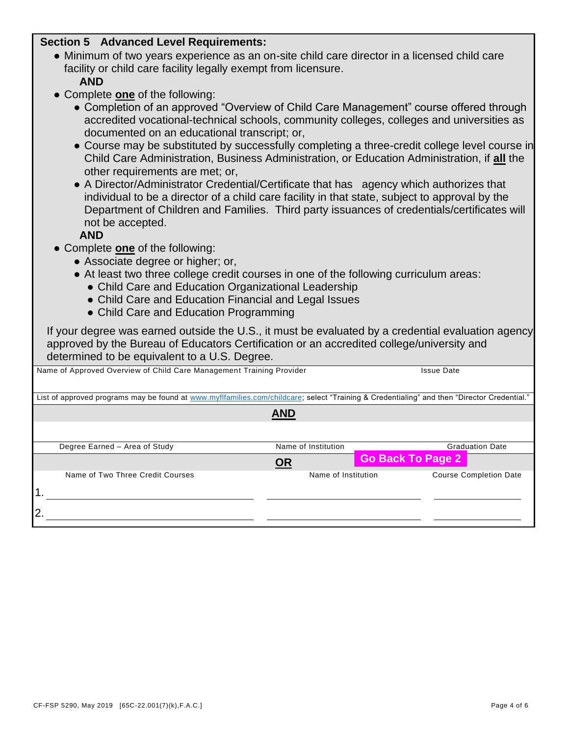#### **Section 5 Advanced Level Requirements:**

- Minimum of two years experience as an on-site child care director in a licensed child care facility or child care facility legally exempt from licensure. **AND**
- Complete **one** of the following:
	- Completion of an approved "Overview of Child Care Management" course offered through accredited vocational-technical schools, community colleges, colleges and universities as documented on an educational transcript; or,
	- Course may be substituted by successfully completing a three-credit college level course in Child Care Administration, Business Administration, or Education Administration, if **all** the other requirements are met; or,
	- A Director/Administrator Credential/Certificate that has agency which authorizes that individual to be a director of a child care facility in that state, subject to approval by the Department of Children and Families. Third party issuances of credentials/certificates will not be accepted.

**AND**

- Complete **one** of the following:
	- Associate degree or higher; or,
	- At least two three college credit courses in one of the following curriculum areas:
		- Child Care and Education Organizational Leadership
		- Child Care and Education Financial and Legal Issues

Name of Approved Overview of Child Care Management Training Provider **Internal 2008** Issue Date

• Child Care and Education Programming

| If your degree was earned outside the U.S., it must be evaluated by a credential evaluation agency |
|----------------------------------------------------------------------------------------------------|
| approved by the Bureau of Educators Certification or an accredited college/university and          |
| determined to be equivalent to a U.S. Degree.                                                      |

| . .<br>List of approved programs may be found at www.myflfamilies.com/childcare; select "Training & Credentialing" and then "Director Credential." |                     |  |                               |  |  |  |  |
|----------------------------------------------------------------------------------------------------------------------------------------------------|---------------------|--|-------------------------------|--|--|--|--|
|                                                                                                                                                    | <b>AND</b>          |  |                               |  |  |  |  |
|                                                                                                                                                    |                     |  |                               |  |  |  |  |
| Degree Earned - Area of Study                                                                                                                      | Name of Institution |  | <b>Graduation Date</b>        |  |  |  |  |
|                                                                                                                                                    | OR                  |  | <b>Go Back To Page 2</b>      |  |  |  |  |
| Name of Two Three Credit Courses                                                                                                                   | Name of Institution |  | <b>Course Completion Date</b> |  |  |  |  |
| າ                                                                                                                                                  |                     |  |                               |  |  |  |  |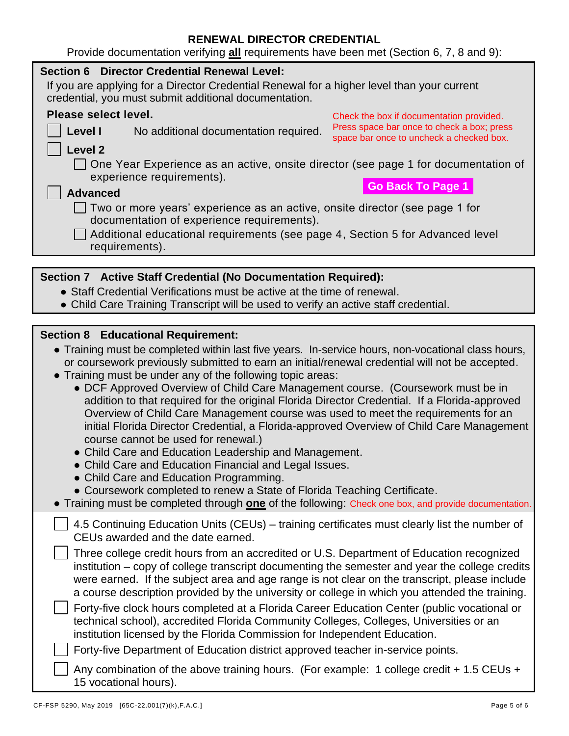## **RENEWAL DIRECTOR CREDENTIAL**

| Provide documentation verifying all requirements have been met (Section 6, 7, 8 and 9):                                                                                                                                                                                                                                                                                                                                                                                                                                                                                                                                                                                                                                                                                                                                                                                                                                                                                                                                                                                    |
|----------------------------------------------------------------------------------------------------------------------------------------------------------------------------------------------------------------------------------------------------------------------------------------------------------------------------------------------------------------------------------------------------------------------------------------------------------------------------------------------------------------------------------------------------------------------------------------------------------------------------------------------------------------------------------------------------------------------------------------------------------------------------------------------------------------------------------------------------------------------------------------------------------------------------------------------------------------------------------------------------------------------------------------------------------------------------|
| <b>Section 6 Director Credential Renewal Level:</b><br>If you are applying for a Director Credential Renewal for a higher level than your current<br>credential, you must submit additional documentation.                                                                                                                                                                                                                                                                                                                                                                                                                                                                                                                                                                                                                                                                                                                                                                                                                                                                 |
| Please select level.<br>Check the box if documentation provided.<br>Press space bar once to check a box; press<br>Level I<br>No additional documentation required.<br>space bar once to uncheck a checked box.                                                                                                                                                                                                                                                                                                                                                                                                                                                                                                                                                                                                                                                                                                                                                                                                                                                             |
| Level <sub>2</sub><br>One Year Experience as an active, onsite director (see page 1 for documentation of<br>experience requirements).<br><b>Go Back To Page 1</b><br><b>Advanced</b>                                                                                                                                                                                                                                                                                                                                                                                                                                                                                                                                                                                                                                                                                                                                                                                                                                                                                       |
| Two or more years' experience as an active, onsite director (see page 1 for<br>documentation of experience requirements).<br>Additional educational requirements (see page 4, Section 5 for Advanced level                                                                                                                                                                                                                                                                                                                                                                                                                                                                                                                                                                                                                                                                                                                                                                                                                                                                 |
| requirements).                                                                                                                                                                                                                                                                                                                                                                                                                                                                                                                                                                                                                                                                                                                                                                                                                                                                                                                                                                                                                                                             |
| Section 7 Active Staff Credential (No Documentation Required):<br>• Staff Credential Verifications must be active at the time of renewal.<br>• Child Care Training Transcript will be used to verify an active staff credential.                                                                                                                                                                                                                                                                                                                                                                                                                                                                                                                                                                                                                                                                                                                                                                                                                                           |
|                                                                                                                                                                                                                                                                                                                                                                                                                                                                                                                                                                                                                                                                                                                                                                                                                                                                                                                                                                                                                                                                            |
| <b>Section 8 Educational Requirement:</b><br>• Training must be completed within last five years. In-service hours, non-vocational class hours,<br>or coursework previously submitted to earn an initial/renewal credential will not be accepted.<br>Training must be under any of the following topic areas:<br>• DCF Approved Overview of Child Care Management course. (Coursework must be in<br>addition to that required for the original Florida Director Credential. If a Florida-approved<br>Overview of Child Care Management course was used to meet the requirements for an<br>initial Florida Director Credential, a Florida-approved Overview of Child Care Management<br>course cannot be used for renewal.)<br>Child Care and Education Leadership and Management.<br>• Child Care and Education Financial and Legal Issues.<br>• Child Care and Education Programming.<br>• Coursework completed to renew a State of Florida Teaching Certificate.<br>• Training must be completed through one of the following: Check one box, and provide documentation. |
|                                                                                                                                                                                                                                                                                                                                                                                                                                                                                                                                                                                                                                                                                                                                                                                                                                                                                                                                                                                                                                                                            |

Any combination of the above training hours. (For example: 1 college credit + 1.5 CEUs + 15 vocational hours).